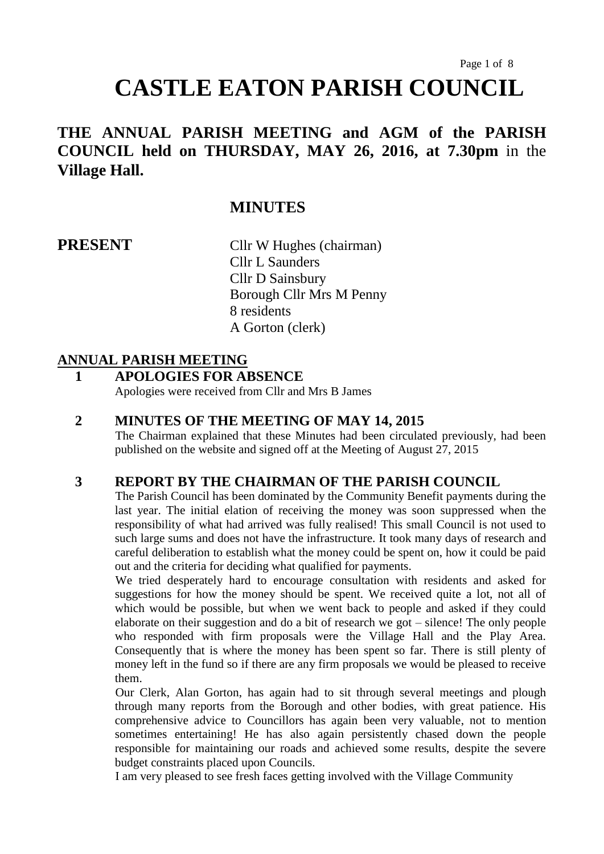# Page 1 of 8 **CASTLE EATON PARISH COUNCIL**

# **THE ANNUAL PARISH MEETING and AGM of the PARISH COUNCIL held on THURSDAY, MAY 26, 2016, at 7.30pm** in the **Village Hall.**

# **MINUTES**

**PRESENT** Cllr W Hughes (chairman) Cllr L Saunders Cllr D Sainsbury Borough Cllr Mrs M Penny 8 residents A Gorton (clerk)

#### **ANNUAL PARISH MEETING**

#### **1 APOLOGIES FOR ABSENCE**

Apologies were received from Cllr and Mrs B James

#### **2 MINUTES OF THE MEETING OF MAY 14, 2015**

The Chairman explained that these Minutes had been circulated previously, had been published on the website and signed off at the Meeting of August 27, 2015

#### **3 REPORT BY THE CHAIRMAN OF THE PARISH COUNCIL**

The Parish Council has been dominated by the Community Benefit payments during the last year. The initial elation of receiving the money was soon suppressed when the responsibility of what had arrived was fully realised! This small Council is not used to such large sums and does not have the infrastructure. It took many days of research and careful deliberation to establish what the money could be spent on, how it could be paid out and the criteria for deciding what qualified for payments.

We tried desperately hard to encourage consultation with residents and asked for suggestions for how the money should be spent. We received quite a lot, not all of which would be possible, but when we went back to people and asked if they could elaborate on their suggestion and do a bit of research we got – silence! The only people who responded with firm proposals were the Village Hall and the Play Area. Consequently that is where the money has been spent so far. There is still plenty of money left in the fund so if there are any firm proposals we would be pleased to receive them.

Our Clerk, Alan Gorton, has again had to sit through several meetings and plough through many reports from the Borough and other bodies, with great patience. His comprehensive advice to Councillors has again been very valuable, not to mention sometimes entertaining! He has also again persistently chased down the people responsible for maintaining our roads and achieved some results, despite the severe budget constraints placed upon Councils.

I am very pleased to see fresh faces getting involved with the Village Community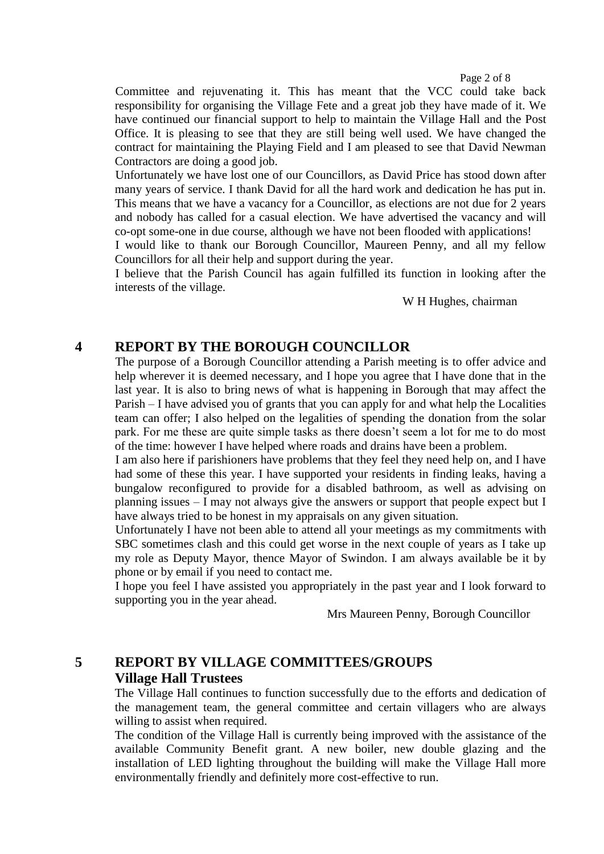#### Page 2 of 8

Committee and rejuvenating it. This has meant that the VCC could take back responsibility for organising the Village Fete and a great job they have made of it. We have continued our financial support to help to maintain the Village Hall and the Post Office. It is pleasing to see that they are still being well used. We have changed the contract for maintaining the Playing Field and I am pleased to see that David Newman Contractors are doing a good job.

Unfortunately we have lost one of our Councillors, as David Price has stood down after many years of service. I thank David for all the hard work and dedication he has put in. This means that we have a vacancy for a Councillor, as elections are not due for 2 years and nobody has called for a casual election. We have advertised the vacancy and will co-opt some-one in due course, although we have not been flooded with applications!

I would like to thank our Borough Councillor, Maureen Penny, and all my fellow Councillors for all their help and support during the year.

I believe that the Parish Council has again fulfilled its function in looking after the interests of the village.

#### W H Hughes, chairman

#### **4 REPORT BY THE BOROUGH COUNCILLOR**

The purpose of a Borough Councillor attending a Parish meeting is to offer advice and help wherever it is deemed necessary, and I hope you agree that I have done that in the last year. It is also to bring news of what is happening in Borough that may affect the Parish – I have advised you of grants that you can apply for and what help the Localities team can offer; I also helped on the legalities of spending the donation from the solar park. For me these are quite simple tasks as there doesn't seem a lot for me to do most of the time: however I have helped where roads and drains have been a problem.

I am also here if parishioners have problems that they feel they need help on, and I have had some of these this year. I have supported your residents in finding leaks, having a bungalow reconfigured to provide for a disabled bathroom, as well as advising on planning issues – I may not always give the answers or support that people expect but I have always tried to be honest in my appraisals on any given situation.

Unfortunately I have not been able to attend all your meetings as my commitments with SBC sometimes clash and this could get worse in the next couple of years as I take up my role as Deputy Mayor, thence Mayor of Swindon. I am always available be it by phone or by email if you need to contact me.

I hope you feel I have assisted you appropriately in the past year and I look forward to supporting you in the year ahead.

Mrs Maureen Penny, Borough Councillor

### **5 REPORT BY VILLAGE COMMITTEES/GROUPS Village Hall Trustees**

The Village Hall continues to function successfully due to the efforts and dedication of the management team, the general committee and certain villagers who are always willing to assist when required.

The condition of the Village Hall is currently being improved with the assistance of the available Community Benefit grant. A new boiler, new double glazing and the installation of LED lighting throughout the building will make the Village Hall more environmentally friendly and definitely more cost-effective to run.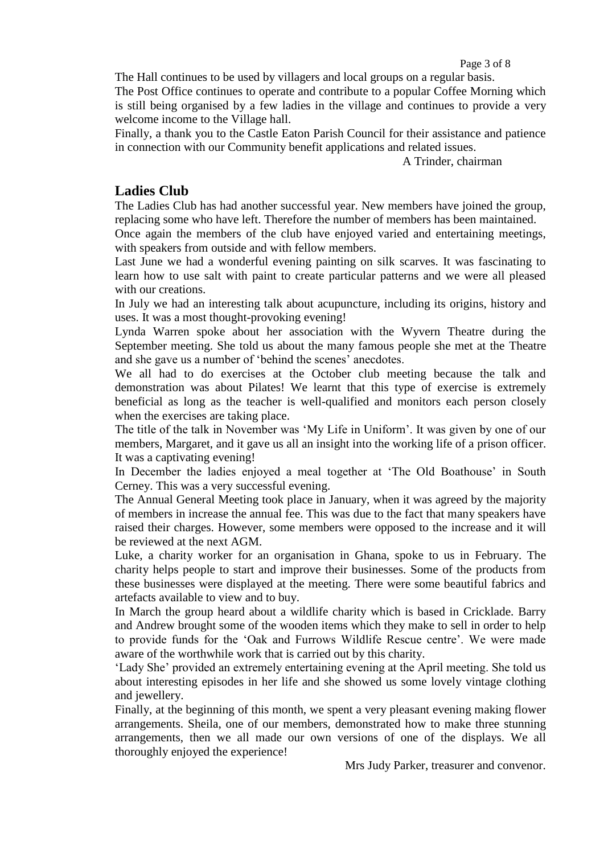Page 3 of 8

The Hall continues to be used by villagers and local groups on a regular basis.

The Post Office continues to operate and contribute to a popular Coffee Morning which is still being organised by a few ladies in the village and continues to provide a very welcome income to the Village hall.

Finally, a thank you to the Castle Eaton Parish Council for their assistance and patience in connection with our Community benefit applications and related issues.

A Trinder, chairman

#### **Ladies Club**

The Ladies Club has had another successful year. New members have joined the group, replacing some who have left. Therefore the number of members has been maintained.

Once again the members of the club have enjoyed varied and entertaining meetings, with speakers from outside and with fellow members.

Last June we had a wonderful evening painting on silk scarves. It was fascinating to learn how to use salt with paint to create particular patterns and we were all pleased with our creations.

In July we had an interesting talk about acupuncture, including its origins, history and uses. It was a most thought-provoking evening!

Lynda Warren spoke about her association with the Wyvern Theatre during the September meeting. She told us about the many famous people she met at the Theatre and she gave us a number of 'behind the scenes' anecdotes.

We all had to do exercises at the October club meeting because the talk and demonstration was about Pilates! We learnt that this type of exercise is extremely beneficial as long as the teacher is well-qualified and monitors each person closely when the exercises are taking place.

The title of the talk in November was 'My Life in Uniform'. It was given by one of our members, Margaret, and it gave us all an insight into the working life of a prison officer. It was a captivating evening!

In December the ladies enjoyed a meal together at 'The Old Boathouse' in South Cerney. This was a very successful evening.

The Annual General Meeting took place in January, when it was agreed by the majority of members in increase the annual fee. This was due to the fact that many speakers have raised their charges. However, some members were opposed to the increase and it will be reviewed at the next AGM.

Luke, a charity worker for an organisation in Ghana, spoke to us in February. The charity helps people to start and improve their businesses. Some of the products from these businesses were displayed at the meeting. There were some beautiful fabrics and artefacts available to view and to buy.

In March the group heard about a wildlife charity which is based in Cricklade. Barry and Andrew brought some of the wooden items which they make to sell in order to help to provide funds for the 'Oak and Furrows Wildlife Rescue centre'. We were made aware of the worthwhile work that is carried out by this charity.

'Lady She' provided an extremely entertaining evening at the April meeting. She told us about interesting episodes in her life and she showed us some lovely vintage clothing and jewellery.

Finally, at the beginning of this month, we spent a very pleasant evening making flower arrangements. Sheila, one of our members, demonstrated how to make three stunning arrangements, then we all made our own versions of one of the displays. We all thoroughly enjoyed the experience!

Mrs Judy Parker, treasurer and convenor.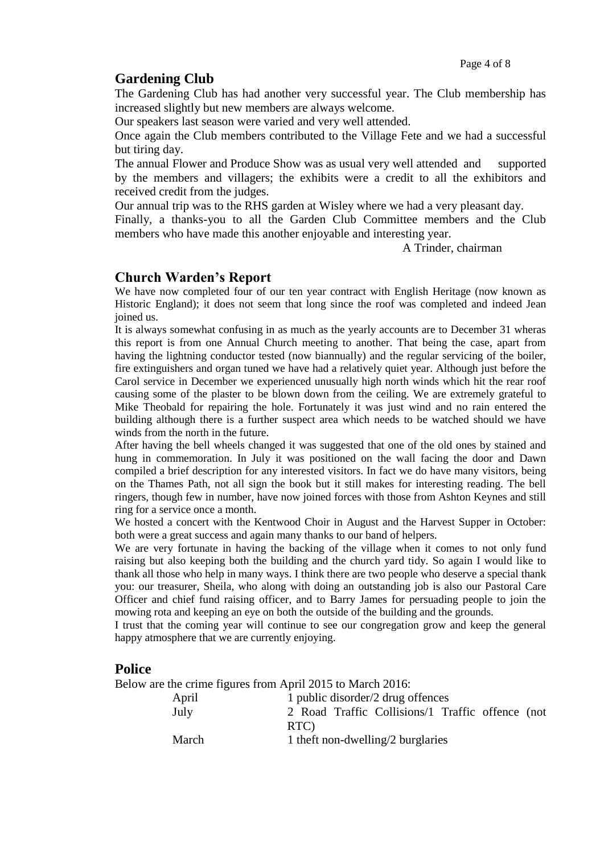#### **Gardening Club**

The Gardening Club has had another very successful year. The Club membership has increased slightly but new members are always welcome.

Our speakers last season were varied and very well attended.

Once again the Club members contributed to the Village Fete and we had a successful but tiring day.

The annual Flower and Produce Show was as usual very well attended and supported by the members and villagers; the exhibits were a credit to all the exhibitors and received credit from the judges.

Our annual trip was to the RHS garden at Wisley where we had a very pleasant day.

Finally, a thanks-you to all the Garden Club Committee members and the Club members who have made this another enjoyable and interesting year.

A Trinder, chairman

#### **Church Warden's Report**

We have now completed four of our ten year contract with English Heritage (now known as Historic England); it does not seem that long since the roof was completed and indeed Jean joined us.

It is always somewhat confusing in as much as the yearly accounts are to December 31 wheras this report is from one Annual Church meeting to another. That being the case, apart from having the lightning conductor tested (now biannually) and the regular servicing of the boiler, fire extinguishers and organ tuned we have had a relatively quiet year. Although just before the Carol service in December we experienced unusually high north winds which hit the rear roof causing some of the plaster to be blown down from the ceiling. We are extremely grateful to Mike Theobald for repairing the hole. Fortunately it was just wind and no rain entered the building although there is a further suspect area which needs to be watched should we have winds from the north in the future.

After having the bell wheels changed it was suggested that one of the old ones by stained and hung in commemoration. In July it was positioned on the wall facing the door and Dawn compiled a brief description for any interested visitors. In fact we do have many visitors, being on the Thames Path, not all sign the book but it still makes for interesting reading. The bell ringers, though few in number, have now joined forces with those from Ashton Keynes and still ring for a service once a month.

We hosted a concert with the Kentwood Choir in August and the Harvest Supper in October: both were a great success and again many thanks to our band of helpers.

We are very fortunate in having the backing of the village when it comes to not only fund raising but also keeping both the building and the church yard tidy. So again I would like to thank all those who help in many ways. I think there are two people who deserve a special thank you: our treasurer, Sheila, who along with doing an outstanding job is also our Pastoral Care Officer and chief fund raising officer, and to Barry James for persuading people to join the mowing rota and keeping an eye on both the outside of the building and the grounds.

I trust that the coming year will continue to see our congregation grow and keep the general happy atmosphere that we are currently enjoying.

#### **Police**

Below are the crime figures from April 2015 to March 2016:

| April | 1 public disorder/2 drug offences                |
|-------|--------------------------------------------------|
| July  | 2 Road Traffic Collisions/1 Traffic offence (not |
|       | RTC)                                             |
| March | 1 theft non-dwelling/2 burglaries                |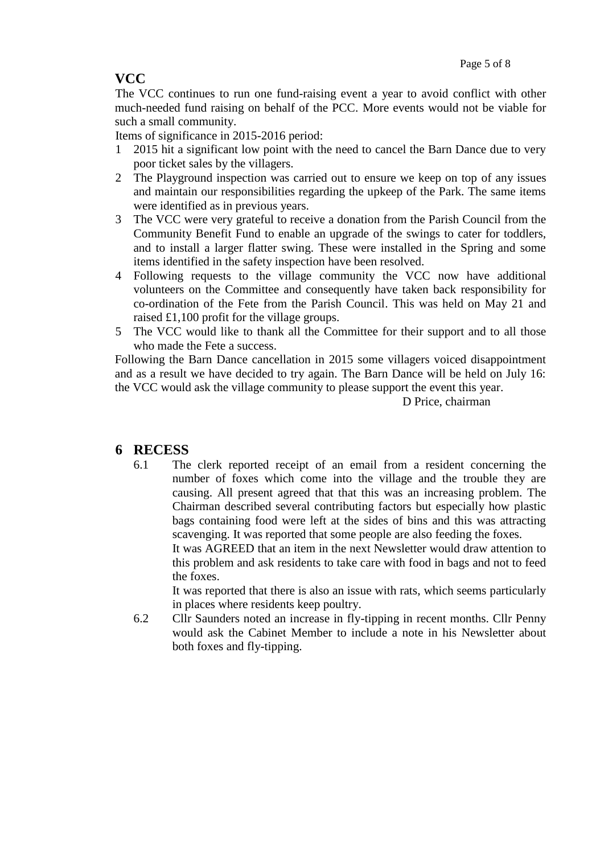# **VCC**

The VCC continues to run one fund-raising event a year to avoid conflict with other much-needed fund raising on behalf of the PCC. More events would not be viable for such a small community.

Items of significance in 2015-2016 period:

- 1 2015 hit a significant low point with the need to cancel the Barn Dance due to very poor ticket sales by the villagers.
- 2 The Playground inspection was carried out to ensure we keep on top of any issues and maintain our responsibilities regarding the upkeep of the Park. The same items were identified as in previous years.
- 3 The VCC were very grateful to receive a donation from the Parish Council from the Community Benefit Fund to enable an upgrade of the swings to cater for toddlers, and to install a larger flatter swing. These were installed in the Spring and some items identified in the safety inspection have been resolved.
- 4 Following requests to the village community the VCC now have additional volunteers on the Committee and consequently have taken back responsibility for co-ordination of the Fete from the Parish Council. This was held on May 21 and raised £1,100 profit for the village groups.
- 5 The VCC would like to thank all the Committee for their support and to all those who made the Fete a success.

Following the Barn Dance cancellation in 2015 some villagers voiced disappointment and as a result we have decided to try again. The Barn Dance will be held on July 16: the VCC would ask the village community to please support the event this year.

D Price, chairman

#### **6 RECESS**

6.1 The clerk reported receipt of an email from a resident concerning the number of foxes which come into the village and the trouble they are causing. All present agreed that that this was an increasing problem. The Chairman described several contributing factors but especially how plastic bags containing food were left at the sides of bins and this was attracting scavenging. It was reported that some people are also feeding the foxes.

It was AGREED that an item in the next Newsletter would draw attention to this problem and ask residents to take care with food in bags and not to feed the foxes.

It was reported that there is also an issue with rats, which seems particularly in places where residents keep poultry.

6.2 Cllr Saunders noted an increase in fly-tipping in recent months. Cllr Penny would ask the Cabinet Member to include a note in his Newsletter about both foxes and fly-tipping.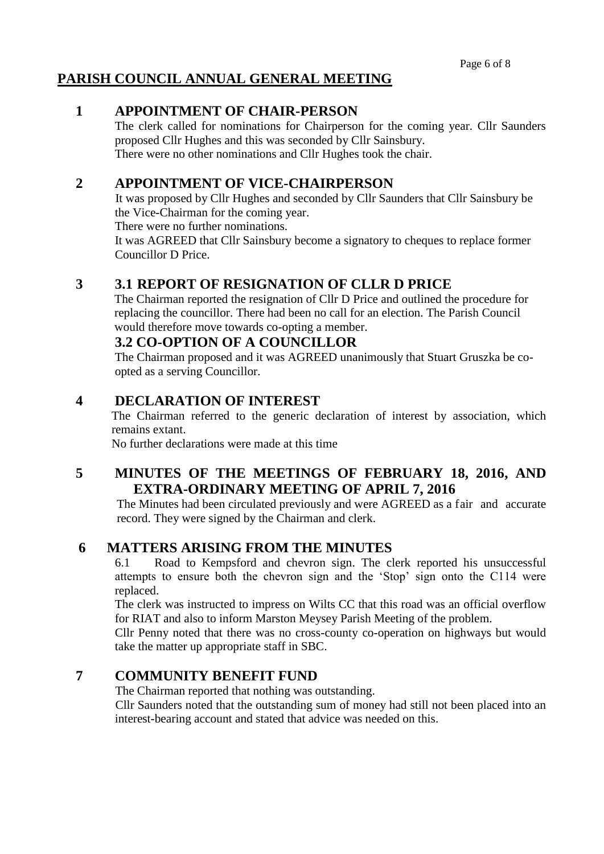# **PARISH COUNCIL ANNUAL GENERAL MEETING**

#### **1 APPOINTMENT OF CHAIR-PERSON**

The clerk called for nominations for Chairperson for the coming year. Cllr Saunders proposed Cllr Hughes and this was seconded by Cllr Sainsbury. There were no other nominations and Cllr Hughes took the chair.

#### **2 APPOINTMENT OF VICE-CHAIRPERSON**

It was proposed by Cllr Hughes and seconded by Cllr Saunders that Cllr Sainsbury be the Vice-Chairman for the coming year.

There were no further nominations.

It was AGREED that Cllr Sainsbury become a signatory to cheques to replace former Councillor D Price.

#### **3 3.1 REPORT OF RESIGNATION OF CLLR D PRICE**

The Chairman reported the resignation of Cllr D Price and outlined the procedure for replacing the councillor. There had been no call for an election. The Parish Council would therefore move towards co-opting a member.

#### **3.2 CO-OPTION OF A COUNCILLOR**

The Chairman proposed and it was AGREED unanimously that Stuart Gruszka be coopted as a serving Councillor.

#### **4 DECLARATION OF INTEREST**

The Chairman referred to the generic declaration of interest by association, which remains extant.

No further declarations were made at this time

# **5 MINUTES OF THE MEETINGS OF FEBRUARY 18, 2016, AND EXTRA-ORDINARY MEETING OF APRIL 7, 2016**

The Minutes had been circulated previously and were AGREED as a fair and accurate record. They were signed by the Chairman and clerk.

## **6 MATTERS ARISING FROM THE MINUTES**

6.1 Road to Kempsford and chevron sign. The clerk reported his unsuccessful attempts to ensure both the chevron sign and the 'Stop' sign onto the C114 were replaced.

The clerk was instructed to impress on Wilts CC that this road was an official overflow for RIAT and also to inform Marston Meysey Parish Meeting of the problem.

Cllr Penny noted that there was no cross-county co-operation on highways but would take the matter up appropriate staff in SBC.

#### **7 COMMUNITY BENEFIT FUND**

The Chairman reported that nothing was outstanding.

Cllr Saunders noted that the outstanding sum of money had still not been placed into an interest-bearing account and stated that advice was needed on this.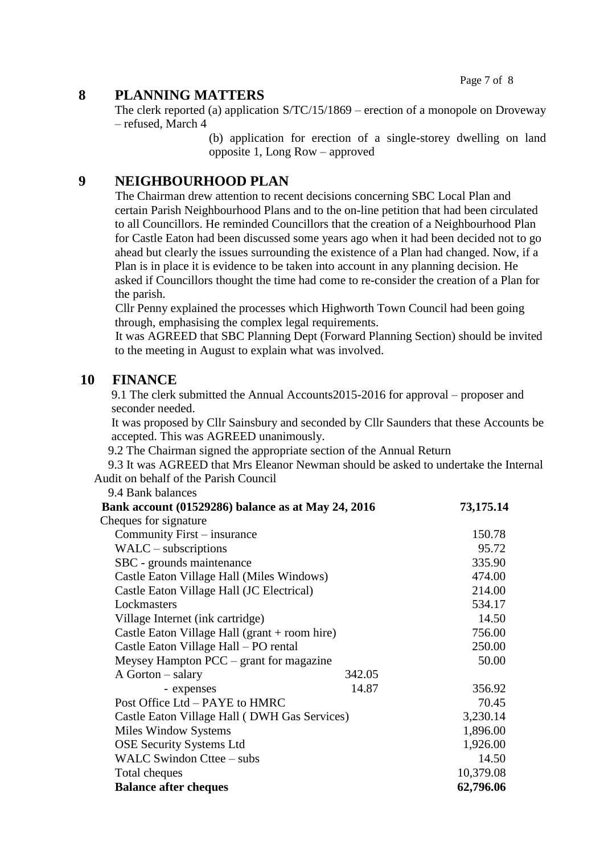Page 7 of 8

### **8 PLANNING MATTERS**

The clerk reported (a) application S/TC/15/1869 – erection of a monopole on Droveway – refused, March 4

> (b) application for erection of a single-storey dwelling on land opposite 1, Long Row – approved

#### **9 NEIGHBOURHOOD PLAN**

The Chairman drew attention to recent decisions concerning SBC Local Plan and certain Parish Neighbourhood Plans and to the on-line petition that had been circulated to all Councillors. He reminded Councillors that the creation of a Neighbourhood Plan for Castle Eaton had been discussed some years ago when it had been decided not to go ahead but clearly the issues surrounding the existence of a Plan had changed. Now, if a Plan is in place it is evidence to be taken into account in any planning decision. He asked if Councillors thought the time had come to re-consider the creation of a Plan for the parish.

Cllr Penny explained the processes which Highworth Town Council had been going through, emphasising the complex legal requirements.

It was AGREED that SBC Planning Dept (Forward Planning Section) should be invited to the meeting in August to explain what was involved.

#### **10 FINANCE**

9.1 The clerk submitted the Annual Accounts2015-2016 for approval – proposer and seconder needed.

It was proposed by Cllr Sainsbury and seconded by Cllr Saunders that these Accounts be accepted. This was AGREED unanimously.

9.2 The Chairman signed the appropriate section of the Annual Return

9.3 It was AGREED that Mrs Eleanor Newman should be asked to undertake the Internal Audit on behalf of the Parish Council

9.4 Bank balances

|                                               | Bank account (01529286) balance as at May 24, 2016 |           |  |
|-----------------------------------------------|----------------------------------------------------|-----------|--|
| Cheques for signature                         |                                                    |           |  |
| Community First – insurance                   |                                                    |           |  |
| $WALC$ – subscriptions                        |                                                    |           |  |
| SBC - grounds maintenance                     |                                                    |           |  |
| Castle Eaton Village Hall (Miles Windows)     | 474.00                                             |           |  |
| Castle Eaton Village Hall (JC Electrical)     | 214.00                                             |           |  |
| Lockmasters                                   | 534.17                                             |           |  |
| Village Internet (ink cartridge)              | 14.50                                              |           |  |
| Castle Eaton Village Hall (grant + room hire) | 756.00                                             |           |  |
| Castle Eaton Village Hall - PO rental         | 250.00                                             |           |  |
| Meysey Hampton $PCC - grant$ for magazine     | 50.00                                              |           |  |
| A Gorton – salary                             | 342.05                                             |           |  |
| - expenses                                    | 14.87                                              | 356.92    |  |
| Post Office Ltd – PAYE to HMRC                | 70.45                                              |           |  |
| Castle Eaton Village Hall (DWH Gas Services)  | 3,230.14                                           |           |  |
| <b>Miles Window Systems</b>                   | 1,896.00                                           |           |  |
| <b>OSE Security Systems Ltd</b>               | 1,926.00                                           |           |  |
| WALC Swindon Cttee – subs                     | 14.50                                              |           |  |
| Total cheques                                 | 10,379.08                                          |           |  |
| <b>Balance after cheques</b>                  |                                                    | 62,796.06 |  |